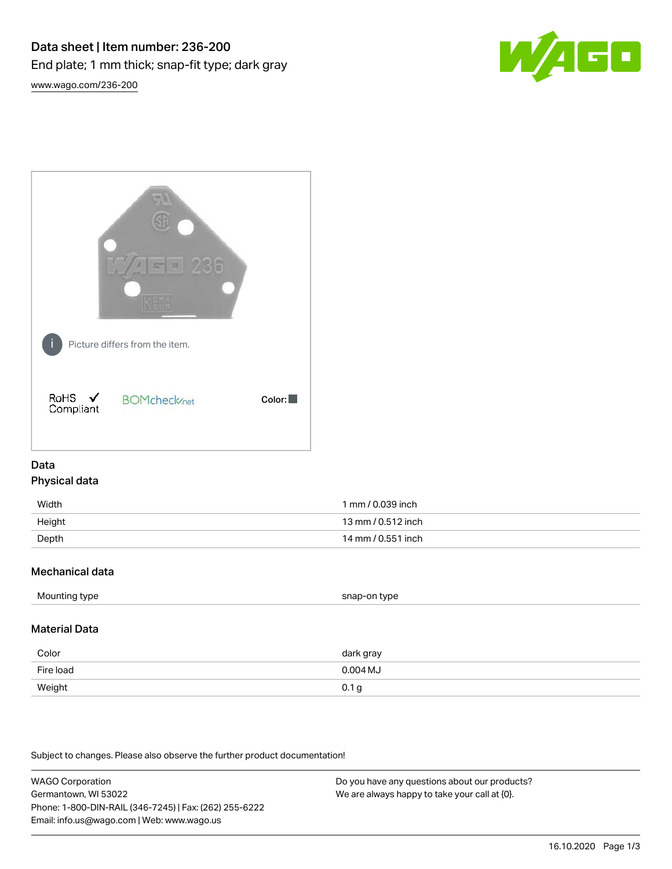



# Data Physical data

| Width  | 1 mm / 0.039 inch  |
|--------|--------------------|
| Height | 13 mm / 0.512 inch |
| Depth  | 14 mm / 0.551 inch |

## Mechanical data

| Mounting type | snap-on type |
|---------------|--------------|
|               |              |

# Material Data

| Color     | dark gray        |
|-----------|------------------|
| Fire load | $0.004$ MJ       |
| Weight    | 0.1 <sub>g</sub> |

Subject to changes. Please also observe the further product documentation!

WAGO Corporation Germantown, WI 53022 Phone: 1-800-DIN-RAIL (346-7245) | Fax: (262) 255-6222 Email: info.us@wago.com | Web: www.wago.us Do you have any questions about our products? We are always happy to take your call at {0}.

16.10.2020 Page 1/3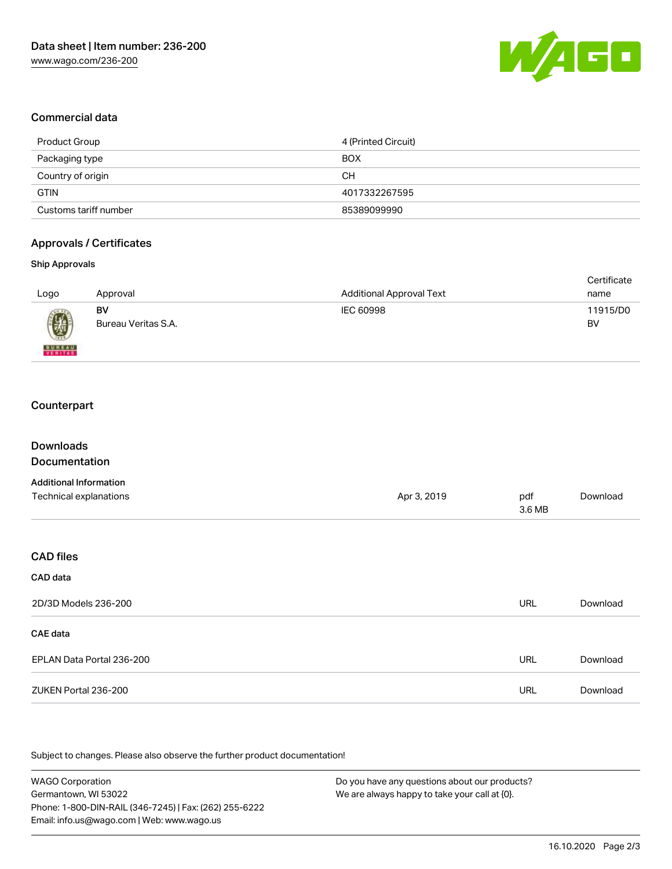

### Commercial data

| Product Group         | 4 (Printed Circuit) |
|-----------------------|---------------------|
| Packaging type        | <b>BOX</b>          |
| Country of origin     | CН                  |
| <b>GTIN</b>           | 4017332267595       |
| Customs tariff number | 85389099990         |

### Approvals / Certificates

#### Ship Approvals

| Logo          | Approval            | <b>Additional Approval Text</b> | Certificate<br>name |
|---------------|---------------------|---------------------------------|---------------------|
| 0             | BV                  | IEC 60998                       | 11915/D0            |
| <b>BUNEAU</b> | Bureau Veritas S.A. |                                 | BV                  |

# **Counterpart**

| <b>Downloads</b><br>Documentation |             |               |          |
|-----------------------------------|-------------|---------------|----------|
| <b>Additional Information</b>     |             |               |          |
| Technical explanations            | Apr 3, 2019 | pdf<br>3.6 MB | Download |
|                                   |             |               |          |
| <b>CAD files</b>                  |             |               |          |
| CAD data                          |             |               |          |
| 2D/3D Models 236-200              |             | <b>URL</b>    | Download |
| <b>CAE</b> data                   |             |               |          |
| EPLAN Data Portal 236-200         |             | <b>URL</b>    | Download |
| ZUKEN Portal 236-200              |             | URL           | Download |
|                                   |             |               |          |

.<br>Subject to changes. Please also observe the further product documentation!

WAGO Corporation Germantown, WI 53022 Phone: 1-800-DIN-RAIL (346-7245) | Fax: (262) 255-6222 Email: info.us@wago.com | Web: www.wago.us Do you have any questions about our products? We are always happy to take your call at {0}.